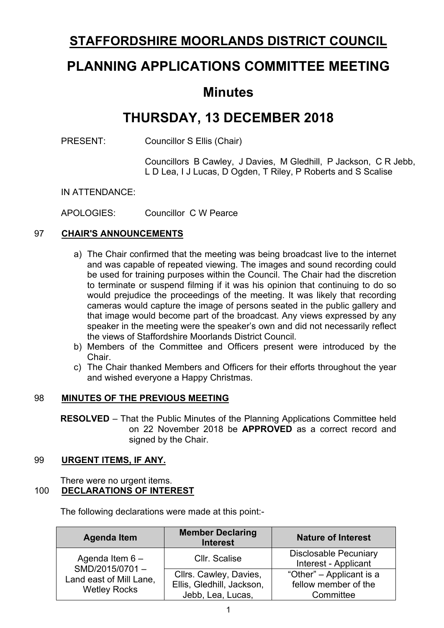## **STAFFORDSHIRE MOORLANDS DISTRICT COUNCIL**

# **PLANNING APPLICATIONS COMMITTEE MEETING**

## **Minutes**

# **THURSDAY, 13 DECEMBER 2018**

PRESENT: Councillor S Ellis (Chair)

Councillors B Cawley, J Davies, M Gledhill, P Jackson, C R Jebb, L D Lea, I J Lucas, D Ogden, T Riley, P Roberts and S Scalise

IN ATTENDANCE:

APOLOGIES: Councillor C W Pearce

## 97 **CHAIR'S ANNOUNCEMENTS**

- a) The Chair confirmed that the meeting was being broadcast live to the internet and was capable of repeated viewing. The images and sound recording could be used for training purposes within the Council. The Chair had the discretion to terminate or suspend filming if it was his opinion that continuing to do so would prejudice the proceedings of the meeting. It was likely that recording cameras would capture the image of persons seated in the public gallery and that image would become part of the broadcast. Any views expressed by any speaker in the meeting were the speaker's own and did not necessarily reflect the views of Staffordshire Moorlands District Council.
- b) Members of the Committee and Officers present were introduced by the Chair.
- c) The Chair thanked Members and Officers for their efforts throughout the year and wished everyone a Happy Christmas.

#### 98 **MINUTES OF THE PREVIOUS MEETING**

**RESOLVED** – That the Public Minutes of the Planning Applications Committee held on 22 November 2018 be **APPROVED** as a correct record and signed by the Chair.

#### 99 **URGENT ITEMS, IF ANY.**

There were no urgent items. 100 **DECLARATIONS OF INTEREST**

The following declarations were made at this point:-

| <b>Agenda Item</b>                                                                    | <b>Member Declaring</b><br><b>Interest</b>          | <b>Nature of Interest</b>                            |
|---------------------------------------------------------------------------------------|-----------------------------------------------------|------------------------------------------------------|
| Agenda Item $6 -$<br>SMD/2015/0701-<br>Land east of Mill Lane,<br><b>Wetley Rocks</b> | Cllr. Scalise                                       | <b>Disclosable Pecuniary</b><br>Interest - Applicant |
|                                                                                       | Cllrs. Cawley, Davies,<br>Ellis, Gledhill, Jackson, | "Other" – Applicant is a<br>fellow member of the     |
|                                                                                       | Jebb, Lea, Lucas,                                   | Committee                                            |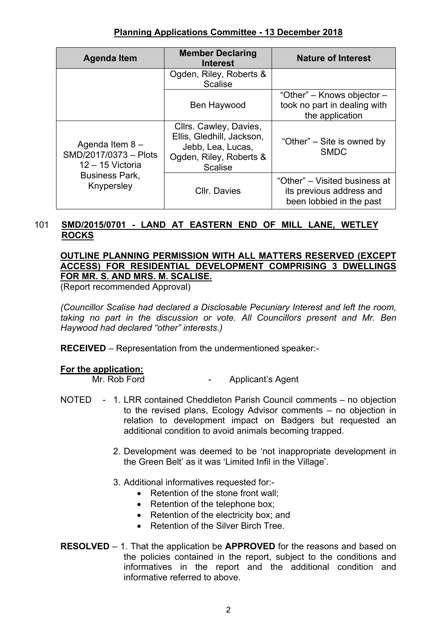| <b>Agenda Item</b>                                                                                      | <b>Member Declaring</b><br><b>Interest</b>                                                                            | <b>Nature of Interest</b>                                                             |  |
|---------------------------------------------------------------------------------------------------------|-----------------------------------------------------------------------------------------------------------------------|---------------------------------------------------------------------------------------|--|
|                                                                                                         | Ogden, Riley, Roberts &<br><b>Scalise</b>                                                                             |                                                                                       |  |
|                                                                                                         | Ben Haywood                                                                                                           | "Other" – Knows objector –<br>took no part in dealing with<br>the application         |  |
| Agenda Item $8 -$<br>SMD/2017/0373 - Plots<br>$12 - 15$ Victoria<br><b>Business Park,</b><br>Knypersley | Cllrs. Cawley, Davies,<br>Ellis, Gledhill, Jackson,<br>Jebb, Lea, Lucas,<br>Ogden, Riley, Roberts &<br><b>Scalise</b> | "Other" – Site is owned by<br><b>SMDC</b>                                             |  |
|                                                                                                         | <b>CIIr. Davies</b>                                                                                                   | "Other" – Visited business at<br>its previous address and<br>been lobbied in the past |  |

## 101 **SMD/2015/0701 - LAND AT EASTERN END OF MILL LANE, WETLEY ROCKS**

## **OUTLINE PLANNING PERMISSION WITH ALL MATTERS RESERVED (EXCEPT ACCESS) FOR RESIDENTIAL DEVELOPMENT COMPRISING 3 DWELLINGS FOR MR. S. AND MRS. M. SCALISE.**

(Report recommended Approval)

*(Councillor Scalise had declared a Disclosable Pecuniary Interest and left the room, taking no part in the discussion or vote. All Councillors present and Mr. Ben Haywood had declared "other" interests.)*

**RECEIVED** – Representation from the undermentioned speaker:-

#### **For the application:**

Mr. Rob Ford **-** Applicant's Agent

- NOTED 1. LRR contained Cheddleton Parish Council comments no objection to the revised plans, Ecology Advisor comments – no objection in relation to development impact on Badgers but requested an additional condition to avoid animals becoming trapped.
	- 2. Development was deemed to be 'not inappropriate development in the Green Belt' as it was 'Limited Infil in the Village'.
	- 3. Additional informatives requested for:-
		- Retention of the stone front wall;
		- Retention of the telephone box;
		- Retention of the electricity box; and
		- Retention of the Silver Birch Tree.
- **RESOLVED** 1. That the application be **APPROVED** for the reasons and based on the policies contained in the report, subject to the conditions and informatives in the report and the additional condition and informative referred to above.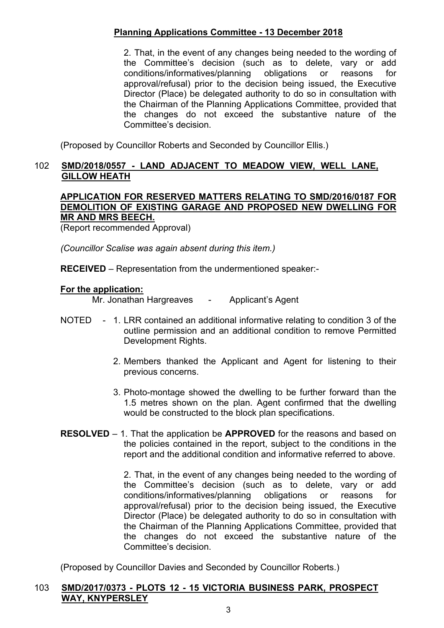2. That, in the event of any changes being needed to the wording of the Committee's decision (such as to delete, vary or add conditions/informatives/planning obligations or reasons for approval/refusal) prior to the decision being issued, the Executive Director (Place) be delegated authority to do so in consultation with the Chairman of the Planning Applications Committee, provided that the changes do not exceed the substantive nature of the Committee's decision.

(Proposed by Councillor Roberts and Seconded by Councillor Ellis.)

## 102 **SMD/2018/0557 - LAND ADJACENT TO MEADOW VIEW, WELL LANE, GILLOW HEATH**

#### **APPLICATION FOR RESERVED MATTERS RELATING TO SMD/2016/0187 FOR DEMOLITION OF EXISTING GARAGE AND PROPOSED NEW DWELLING FOR MR AND MRS BEECH.**

(Report recommended Approval)

*(Councillor Scalise was again absent during this item.)*

**RECEIVED** – Representation from the undermentioned speaker:-

#### **For the application:**

Mr. Jonathan Hargreaves - Applicant's Agent

- NOTED 1. LRR contained an additional informative relating to condition 3 of the outline permission and an additional condition to remove Permitted Development Rights.
	- 2. Members thanked the Applicant and Agent for listening to their previous concerns.
	- 3. Photo-montage showed the dwelling to be further forward than the 1.5 metres shown on the plan. Agent confirmed that the dwelling would be constructed to the block plan specifications.
- **RESOLVED** 1. That the application be **APPROVED** for the reasons and based on the policies contained in the report, subject to the conditions in the report and the additional condition and informative referred to above.

2. That, in the event of any changes being needed to the wording of the Committee's decision (such as to delete, vary or add conditions/informatives/planning obligations or reasons for approval/refusal) prior to the decision being issued, the Executive Director (Place) be delegated authority to do so in consultation with the Chairman of the Planning Applications Committee, provided that the changes do not exceed the substantive nature of the Committee's decision.

(Proposed by Councillor Davies and Seconded by Councillor Roberts.)

## 103 **SMD/2017/0373 - PLOTS 12 - 15 VICTORIA BUSINESS PARK, PROSPECT WAY, KNYPERSLEY**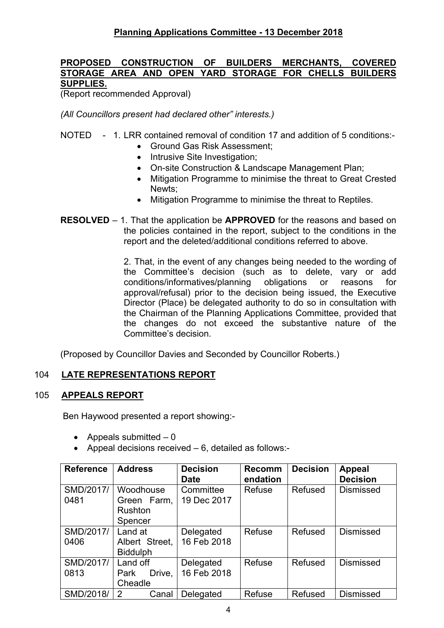## **PROPOSED CONSTRUCTION OF BUILDERS MERCHANTS, COVERED STORAGE AREA AND OPEN YARD STORAGE FOR CHELLS BUILDERS SUPPLIES.**

(Report recommended Approval)

*(All Councillors present had declared other" interests.)*

## NOTED - 1. LRR contained removal of condition 17 and addition of 5 conditions:-

- Ground Gas Risk Assessment;
- Intrusive Site Investigation;
- On-site Construction & Landscape Management Plan;
- Mitigation Programme to minimise the threat to Great Crested Newts;
- Mitigation Programme to minimise the threat to Reptiles.
- **RESOLVED** 1. That the application be **APPROVED** for the reasons and based on the policies contained in the report, subject to the conditions in the report and the deleted/additional conditions referred to above.

2. That, in the event of any changes being needed to the wording of the Committee's decision (such as to delete, vary or add conditions/informatives/planning obligations or reasons for approval/refusal) prior to the decision being issued, the Executive Director (Place) be delegated authority to do so in consultation with the Chairman of the Planning Applications Committee, provided that the changes do not exceed the substantive nature of the Committee's decision.

(Proposed by Councillor Davies and Seconded by Councillor Roberts.)

## 104 **LATE REPRESENTATIONS REPORT**

## 105 **APPEALS REPORT**

Ben Haywood presented a report showing:-

- Appeals submitted  $-0$
- Appeal decisions received 6, detailed as follows:-

| <b>Reference</b>  | <b>Address</b>                                 | <b>Decision</b><br><b>Date</b> | <b>Recomm</b><br>endation | <b>Decision</b> | <b>Appeal</b><br><b>Decision</b> |
|-------------------|------------------------------------------------|--------------------------------|---------------------------|-----------------|----------------------------------|
| SMD/2017/<br>0481 | Woodhouse<br>Green Farm,<br>Rushton<br>Spencer | Committee<br>19 Dec 2017       | Refuse                    | Refused         | <b>Dismissed</b>                 |
| SMD/2017/<br>0406 | Land at<br>Albert Street,<br><b>Biddulph</b>   | Delegated<br>16 Feb 2018       | Refuse                    | Refused         | <b>Dismissed</b>                 |
| SMD/2017/<br>0813 | Land off<br>Drive,<br>Park<br>Cheadle          | Delegated<br>16 Feb 2018       | Refuse                    | Refused         | <b>Dismissed</b>                 |
| SMD/2018/         | 2<br>Canal                                     | Delegated                      | Refuse                    | Refused         | <b>Dismissed</b>                 |